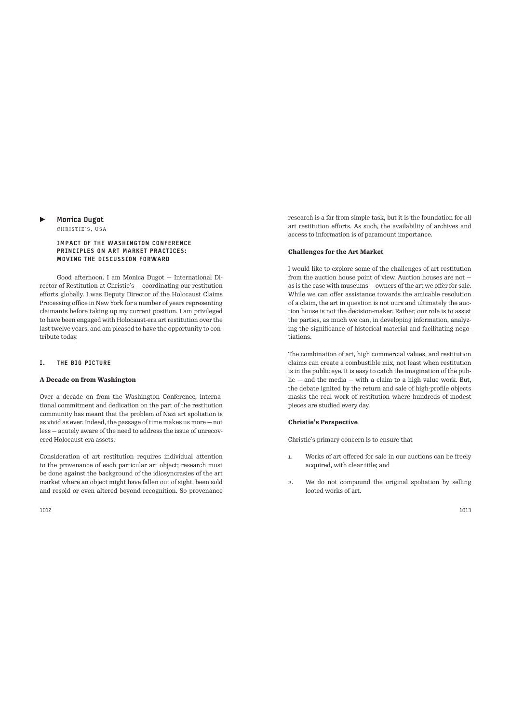# Monica Dugot

CHRISTIE'S, USA

#### IMPACT OF THE WASHINGTON CONFERENCE PRINCIPLES ON ART MARKET PRACTICES: MOVING THE DISCUSSION FORWARD

Good afternoon. I am Monica Dugot - International Director of Restitution at Christie's — coordinating our restitution efforts globally. I was Deputy Director of the Holocaust Claims Processing office in New York for a number of years representing claimants before taking up my current position. I am privileged to have been engaged with Holocaust-era art restitution over the last twelve years, and am pleased to have the opportunity to contribute today.

# I. THE BIG PICTURE

#### **A Decade on from Washington**

Over a decade on from the Washington Conference, international commitment and dedication on the part of the restitution community has meant that the problem of Nazi art spoliation is as vivid as ever. Indeed, the passage of time makes us more — not less — acutely aware of the need to address the issue of unrecovered Holocaust-era assets.

Consideration of art restitution requires individual attention to the provenance of each particular art object; research must be done against the background of the idiosyncrasies of the art market where an object might have fallen out of sight, been sold and resold or even altered beyond recognition. So provenance research is a far from simple task, but it is the foundation for all art restitution efforts. As such, the availability of archives and access to information is of paramount importance.

# **Challenges for the Art Market**

I would like to explore some of the challenges of art restitution from the auction house point of view. Auction houses are not as is the case with museums — owners of the art we offer for sale. While we can offer assistance towards the amicable resolution of a claim, the art in question is not ours and ultimately the auction house is not the decision-maker. Rather, our role is to assist the parties, as much we can, in developing information, analyzing the significance of historical material and facilitating negotiations.

The combination of art, high commercial values, and restitution claims can create a combustible mix, not least when restitution is in the public eye. It is easy to catch the imagination of the public — and the media — with a claim to a high value work. But, the debate ignited by the return and sale of high-profile objects masks the real work of restitution where hundreds of modest pieces are studied every day.

# **Christie's Perspective**

Christie's primary concern is to ensure that

- 1. Works of art offered for sale in our auctions can be freely acquired, with clear title; and
- 2. We do not compound the original spoliation by selling looted works of art.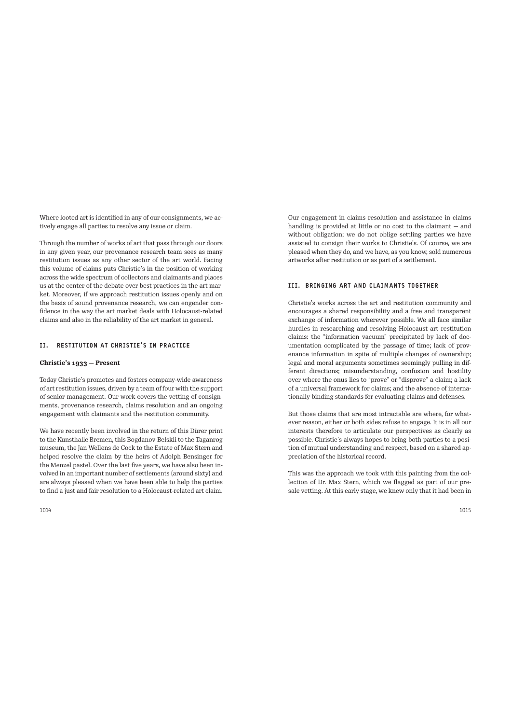Where looted art is identified in any of our consignments, we actively engage all parties to resolve any issue or claim.

Through the number of works of art that pass through our doors in any given year, our provenance research team sees as many restitution issues as any other sector of the art world. Facing this volume of claims puts Christie's in the position of working across the wide spectrum of collectors and claimants and places us at the center of the debate over best practices in the art market. Moreover, if we approach restitution issues openly and on the basis of sound provenance research, we can engender confidence in the way the art market deals with Holocaust-related claims and also in the reliability of the art market in general.

## II. RESTITUTION AT CHRISTIE'S IN PRACTICE

#### **Christie's 1933 — Present**

Today Christie's promotes and fosters company-wide awareness of art restitution issues, driven by a team of four with the support of senior management. Our work covers the vetting of consignments, provenance research, claims resolution and an ongoing engagement with claimants and the restitution community.

We have recently been involved in the return of this Dürer print to the Kunsthalle Bremen, this Bogdanov-Belskii to the Taganrog museum, the Jan Wellens de Cock to the Estate of Max Stern and helped resolve the claim by the heirs of Adolph Bensinger for the Menzel pastel. Over the last five years, we have also been involved in an important number of settlements (around sixty) and are always pleased when we have been able to help the parties to find a just and fair resolution to a Holocaust-related art claim. Our engagement in claims resolution and assistance in claims handling is provided at little or no cost to the claimant — and without obligation; we do not oblige settling parties we have assisted to consign their works to Christie's. Of course, we are pleased when they do, and we have, as you know, sold numerous artworks after restitution or as part of a settlement.

### III. BRINGING ART AND CLAIMANTS TOGETHER

Christie's works across the art and restitution community and encourages a shared responsibility and a free and transparent exchange of information wherever possible. We all face similar hurdles in researching and resolving Holocaust art restitution claims: the "information vacuum" precipitated by lack of documentation complicated by the passage of time; lack of provenance information in spite of multiple changes of ownership; legal and moral arguments sometimes seemingly pulling in different directions; misunderstanding, confusion and hostility over where the onus lies to "prove" or "disprove" a claim; a lack of a universal framework for claims; and the absence of internationally binding standards for evaluating claims and defenses.

But those claims that are most intractable are where, for whatever reason, either or both sides refuse to engage. It is in all our interests therefore to articulate our perspectives as clearly as possible. Christie's always hopes to bring both parties to a position of mutual understanding and respect, based on a shared appreciation of the historical record.

This was the approach we took with this painting from the collection of Dr. Max Stern, which we flagged as part of our presale vetting. At this early stage, we knew only that it had been in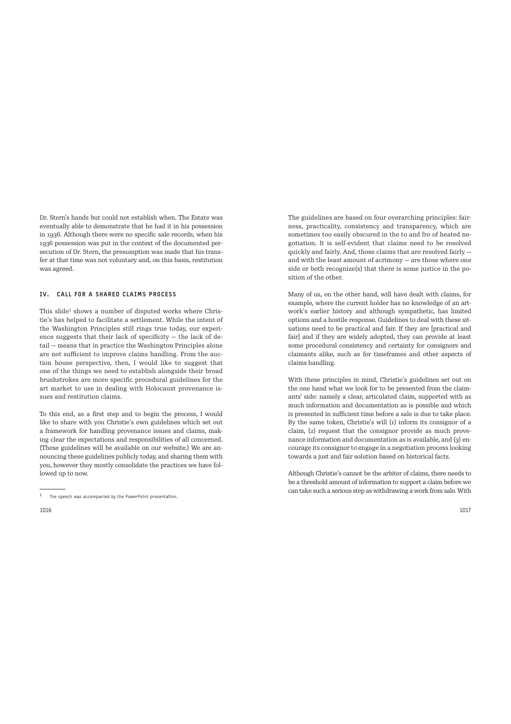Dr. Stern's hands but could not establish when. The Estate was eventually able to demonstrate that he had it in his possession in 1936. Although there were no specific sale records, when his 1936 possession was put in the context of the documented persecution of Dr. Stern, the presumption was made that his transfer at that time was not voluntary and, on this basis, restitution was agreed.

#### IV. CALL FOR A SHARED CLAIMS PROCESS

This slide<sup>1</sup> shows a number of disputed works where Christie's has helped to facilitate a settlement. While the intent of the Washington Principles still rings true today, our experience suggests that their lack of specificity — the lack of detail — means that in practice the Washington Principles alone are not sufficient to improve claims handling. From the auction house perspective, then, I would like to suggest that one of the things we need to establish alongside their broad brushstrokes are more specific procedural guidelines for the art market to use in dealing with Holocaust provenance issues and restitution claims.

To this end, as a first step and to begin the process, I would like to share with you Christie's own guidelines which set out a framework for handling provenance issues and claims, making clear the expectations and responsibilities of all concerned. (These guidelines will be available on our website.) We are announcing these guidelines publicly today, and sharing them with you, however they mostly consolidate the practices we have followed up to now.

The guidelines are based on four overarching principles: fairness, practicality, consistency and transparency, which are sometimes too easily obscured in the to and fro of heated negotiation. It is self-evident that claims need to be resolved quickly and fairly. And, those claims that are resolved fairly and with the least amount of acrimony — are those where one side or both recognize(s) that there is some justice in the position of the other.

Many of us, on the other hand, will have dealt with claims, for example, where the current holder has no knowledge of an artwork's earlier history and although sympathetic, has limited options and a hostile response. Guidelines to deal with these situations need to be practical and fair. If they are [practical and fair] and if they are widely adopted, they can provide at least some procedural consistency and certainty for consignors and claimants alike, such as for timeframes and other aspects of claims handling.

With these principles in mind, Christie's guidelines set out on the one hand what we look for to be presented from the claimants' side: namely a clear, articulated claim, supported with as much information and documentation as is possible and which is presented in sufficient time before a sale is due to take place. By the same token, Christie's will (1) inform its consignor of a claim, (2) request that the consignor provide as much provenance information and documentation as is available, and (3) encourage its consignor to engage in a negotiation process looking towards a just and fair solution based on historical facts.

Although Christie's cannot be the arbiter of claims, there needs to be a threshold amount of information to support a claim before we can take such a serious step as withdrawing a work from sale. With

 $1$  The speech was accompanied by the PowerPoint presentation.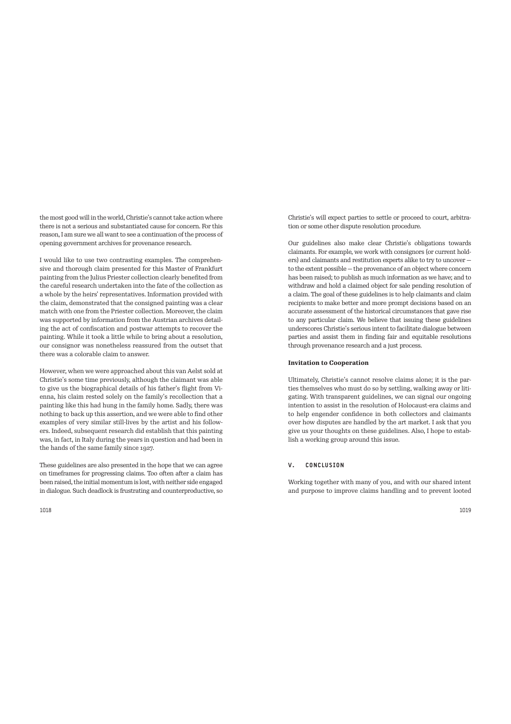the most good will in the world, Christie's cannot take action where there is not a serious and substantiated cause for concern. For this reason, I am sure we all want to see a continuation of the process of opening government archives for provenance research.

I would like to use two contrasting examples. The comprehensive and thorough claim presented for this Master of Frankfurt painting from the Julius Priester collection clearly benefited from the careful research undertaken into the fate of the collection as a whole by the heirs' representatives. Information provided with the claim, demonstrated that the consigned painting was a clear match with one from the Priester collection. Moreover, the claim was supported by information from the Austrian archives detailing the act of confiscation and postwar attempts to recover the painting. While it took a little while to bring about a resolution, our consignor was nonetheless reassured from the outset that there was a colorable claim to answer.

However, when we were approached about this van Aelst sold at Christie's some time previously, although the claimant was able to give us the biographical details of his father's flight from Vienna, his claim rested solely on the family's recollection that a painting like this had hung in the family home. Sadly, there was nothing to back up this assertion, and we were able to find other examples of very similar still-lives by the artist and his followers. Indeed, subsequent research did establish that this painting was, in fact, in Italy during the years in question and had been in the hands of the same family since 1927.

These guidelines are also presented in the hope that we can agree on timeframes for progressing claims. Too often after a claim has been raised, the initial momentum is lost, with neither side engaged in dialogue. Such deadlock is frustrating and counterproductive, so Christie's will expect parties to settle or proceed to court, arbitration or some other dispute resolution procedure.

Our guidelines also make clear Christie's obligations towards claimants. For example, we work with consignors (or current holders) and claimants and restitution experts alike to try to uncover to the extent possible — the provenance of an object where concern has been raised; to publish as much information as we have; and to withdraw and hold a claimed object for sale pending resolution of a claim. The goal of these guidelines is to help claimants and claim recipients to make better and more prompt decisions based on an accurate assessment of the historical circumstances that gave rise to any particular claim. We believe that issuing these guidelines underscores Christie's serious intent to facilitate dialogue between parties and assist them in finding fair and equitable resolutions through provenance research and a just process.

### **Invitation to Cooperation**

Ultimately, Christie's cannot resolve claims alone; it is the parties themselves who must do so by settling, walking away or litigating. With transparent guidelines, we can signal our ongoing intention to assist in the resolution of Holocaust-era claims and to help engender confidence in both collectors and claimants over how disputes are handled by the art market. I ask that you give us your thoughts on these guidelines. Also, I hope to establish a working group around this issue.

# V. CONCLUSION

Working together with many of you, and with our shared intent and purpose to improve claims handling and to prevent looted